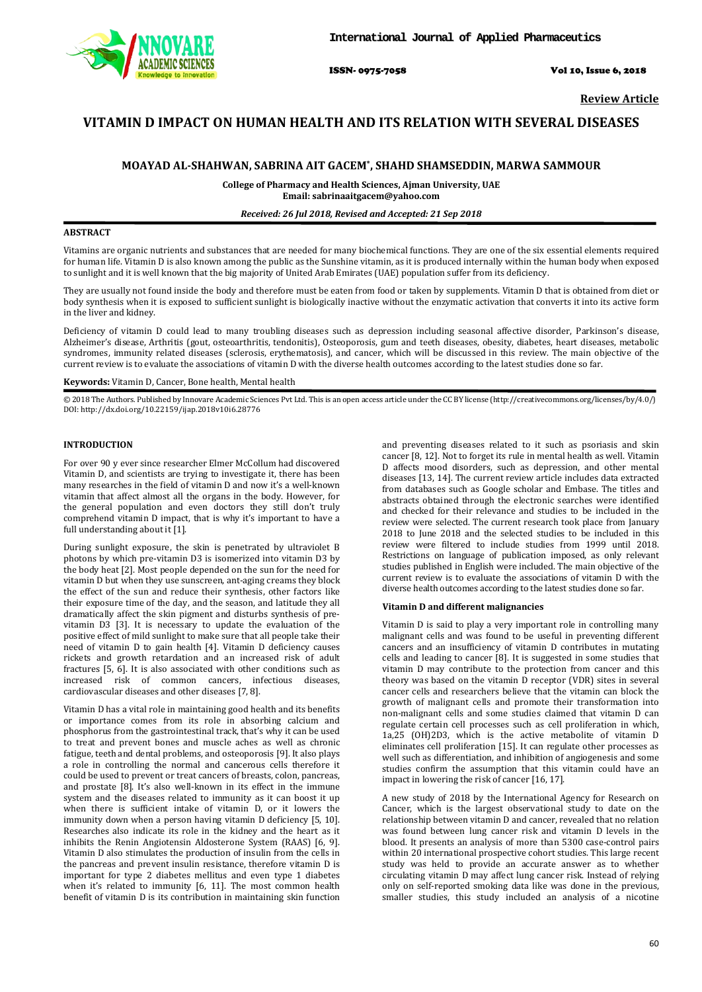

ISSN- 0975-7058 Vol 10, Issue 6, 2018

**Review Article**

# **VITAMIN D IMPACT ON HUMAN HEALTH AND ITS RELATION WITH SEVERAL DISEASES**

## **MOAYAD AL-SHAHWAN, SABRINA AIT GACEM\* , SHAHD SHAMSEDDIN, MARWA SAMMOUR**

**College of Pharmacy and Health Sciences, Ajman University, UAE Email: sabrinaaitgacem@yahoo.com**

## *Received: 26 Jul 2018, Revised and Accepted: 21 Sep 2018*

## **ABSTRACT**

Vitamins are organic nutrients and substances that are needed for many biochemical functions. They are one of the six essential elements required for human life. Vitamin D is also known among the public as the Sunshine vitamin, as it is produced internally within the human body when exposed to sunlight and it is well known that the big majority of United Arab Emirates (UAE) population suffer from its deficiency.

They are usually not found inside the body and therefore must be eaten from food or taken by supplements. Vitamin D that is obtained from diet or body synthesis when it is exposed to sufficient sunlight is biologically inactive without the enzymatic activation that converts it into its active form in the liver and kidney.

Deficiency of vitamin D could lead to many troubling diseases such as depression including seasonal affective disorder, Parkinson's disease, Alzheimer's disease, Arthritis (gout, osteoarthritis, tendonitis), Osteoporosis, gum and teeth diseases, obesity, diabetes, heart diseases, metabolic syndromes, immunity related diseases (sclerosis, erythematosis), and cancer, which will be discussed in this review. The main objective of the current review is to evaluate the associations of vitamin D with the diverse health outcomes according to the latest studies done so far.

## **Keywords:** Vitamin D, Cancer, Bone health, Mental health

© 2018 The Authors. Published by Innovare Academic Sciences Pvt Ltd. This is an open access article under the CC BY license [\(http://creativecommons.org/licenses/by/4.0/\)](http://creativecommons.org/licenses/by/4.0/) DOI: http://dx.doi.org/10.22159/ijap.2018v10i6.28776

## **INTRODUCTION**

For over 90 y ever since researcher Elmer McCollum had discovered Vitamin D, and scientists are trying to investigate it, there has been many researches in the field of vitamin D and now it's a well-known vitamin that affect almost all the organs in the body. However, for the general population and even doctors they still don't truly comprehend vitamin D impact, that is why it's important to have a full understanding about it [1].

During sunlight exposure, the skin is penetrated by ultraviolet B photons by which pre-vitamin D3 is isomerized into vitamin D3 by the body heat [2]. Most people depended on the sun for the need for vitamin D but when they use sunscreen, ant-aging creams they block the effect of the sun and reduce their synthesis, other factors like their exposure time of the day, and the season, and latitude they all dramatically affect the skin pigment and disturbs synthesis of previtamin D3 [3]. It is necessary to update the evaluation of the positive effect of mild sunlight to make sure that all people take their need of vitamin D to gain health [4]. Vitamin D deficiency causes rickets and growth retardation and an increased risk of adult fractures [5, 6]. It is also associated with other conditions such as increased risk of common cancers, infectious diseases. increased risk of common cancers, infectious cardiovascular diseases and other diseases [7, 8].

Vitamin D has a vital role in maintaining good health and its benefits or importance comes from its role in absorbing calcium and phosphorus from the gastrointestinal track, that's why it can be used to treat and prevent bones and muscle aches as well as chronic fatigue, teeth and dental problems, and osteoporosis [9]. It also plays a role in controlling the normal and cancerous cells therefore it could be used to prevent or treat cancers of breasts, colon, pancreas, and prostate [8]. It's also well-known in its effect in the immune system and the diseases related to immunity as it can boost it up when there is sufficient intake of vitamin D, or it lowers the immunity down when a person having vitamin D deficiency [5, 10]. Researches also indicate its role in the kidney and the heart as it inhibits the Renin Angiotensin Aldosterone System (RAAS) [6, 9]. Vitamin D also stimulates the production of insulin from the cells in the pancreas and prevent insulin resistance, therefore vitamin D is important for type 2 diabetes mellitus and even type 1 diabetes when it's related to immunity [6, 11]. The most common health benefit of vitamin D is its contribution in maintaining skin function and preventing diseases related to it such as psoriasis and skin cancer [8, 12]. Not to forget its rule in mental health as well. Vitamin D affects mood disorders, such as depression, and other mental diseases [13, 14]. The current review article includes data extracted from databases such as Google scholar and Embase. The titles and abstracts obtained through the electronic searches were identified and checked for their relevance and studies to be included in the review were selected. The current research took place from January 2018 to June 2018 and the selected studies to be included in this review were filtered to include studies from 1999 until 2018. Restrictions on language of publication imposed, as only relevant studies published in English were included. The main objective of the current review is to evaluate the associations of vitamin D with the diverse health outcomes according to the latest studies done so far.

#### **Vitamin D and different malignancies**

Vitamin D is said to play a very important role in controlling many malignant cells and was found to be useful in preventing different cancers and an insufficiency of vitamin D contributes in mutating cells and leading to cancer [8]. It is suggested in some studies that vitamin D may contribute to the protection from cancer and this theory was based on the vitamin D receptor (VDR) sites in several cancer cells and researchers believe that the vitamin can block the growth of malignant cells and promote their transformation into non-malignant cells and some studies claimed that vitamin D can regulate certain cell processes such as cell proliferation in which, 1a,25 (OH)2D3, which is the active metabolite of vitamin D eliminates cell proliferation [15]. It can regulate other processes as well such as differentiation, and inhibition of angiogenesis and some studies confirm the assumption that this vitamin could have an impact in lowering the risk of cancer [16, 17].

A new study of 2018 by the International Agency for Research on Cancer, which is the largest observational study to date on the relationship between vitamin D and cancer, revealed that no relation was found between lung cancer risk and vitamin D levels in the blood. It presents an analysis of more than 5300 case-control pairs within 20 international prospective cohort studies. This large recent study was held to provide an accurate answer as to whether circulating vitamin D may affect lung cancer risk. Instead of relying only on self-reported smoking data like was done in the previous, smaller studies, this study included an analysis of a nicotine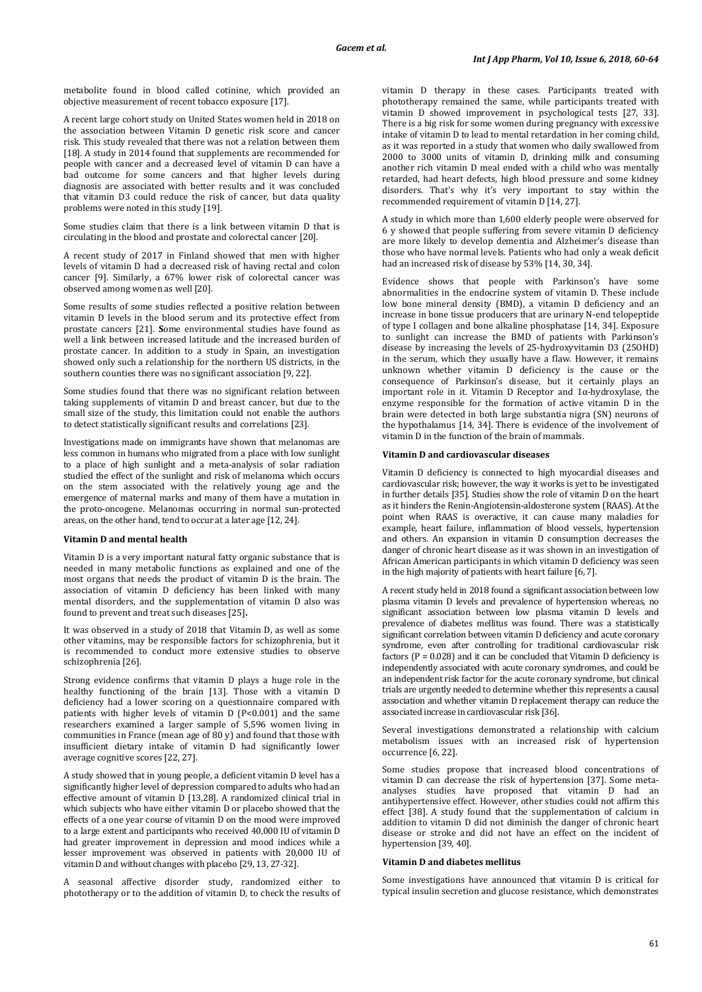metabolite found in blood called cotinine, which provided an objective measurement of recent tobacco exposure [17].

A recent large cohort study on United States women held in 2018 on the association between Vitamin D genetic risk score and cancer risk. This study revealed that there was not a relation between them [18]. A study in 2014 found that supplements are recommended for people with cancer and a decreased level of vitamin D can have a bad outcome for some cancers and that higher levels during diagnosis are associated with better results and it was concluded that vitamin D3 could reduce the risk of cancer, but data quality problems were noted in this study [19].

Some studies claim that there is a link between vitamin D that is circulating in the blood and prostate and colorectal cancer [20].

A recent study of 2017 in Finland showed that men with higher levels of vitamin D had a decreased risk of having rectal and colon cancer [9]. Similarly, a 67% lower risk of colorectal cancer was observed among women as well [20].

Some results of some studies reflected a positive relation between vitamin D levels in the blood serum and its protective effect from prostate cancers [21]. **S**ome environmental studies have found as well a link between increased latitude and the increased burden of prostate cancer. In addition to a study in Spain, an investigation showed only such a relationship for the northern US districts, in the southern counties there was no significant association [9, 22].

Some studies found that there was no significant relation between taking supplements of vitamin D and breast cancer, but due to the small size of the study, this limitation could not enable the authors to detect statistically significant results and correlations [23].

Investigations made on immigrants have shown that melanomas are less common in humans who migrated from a place with low sunlight to a place of high sunlight and a meta-analysis of solar radiation studied the effect of the sunlight and risk of melanoma which occurs on the stem associated with the relatively young age and the emergence of maternal marks and many of them have a mutation in the proto-oncogene. Melanomas occurring in normal sun-protected areas, on the other hand, tend to occur at a later age [12, 24].

### **Vitamin D and mental health**

Vitamin D is a very important natural fatty organic substance that is needed in many metabolic functions as explained and one of the most organs that needs the product of vitamin D is the brain. The association of vitamin D deficiency has been linked with many mental disorders, and the supplementation of vitamin D also was found to prevent and treat such diseases [25]**.**

It was observed in a study of 2018 that Vitamin D, as well as some other vitamins, may be responsible factors for schizophrenia, but it is recommended to conduct more extensive studies to observe schizophrenia [26].

Strong evidence confirms that vitamin D plays a huge role in the healthy functioning of the brain [13]. Those with a vitamin D deficiency had a lower scoring on a questionnaire compared with patients with higher levels of vitamin D (P<0.001) and the same researchers examined a larger sample of 5,596 women living in communities in France (mean age of 80 y) and found that those with insufficient dietary intake of vitamin D had significantly lower average cognitive scores [22, 27].

A study showed that in young people, a deficient vitamin D level has a significantly higher level of depression compared to adults who had an effective amount of vitamin D [13,28]. A randomized clinical trial in which subjects who have either vitamin D or placebo showed that the effects of a one year course of vitamin D on the mood were improved to a large extent and participants who received 40,000 IU of vitamin D had greater improvement in depression and mood indices while a lesser improvement was observed in patients with 20,000 IU of vitamin D and without changes with placebo [29, 13, 27-32].

A seasonal affective disorder study, randomized either to phototherapy or to the addition of vitamin D, to check the results of vitamin D therapy in these cases. Participants treated with phototherapy remained the same, while participants treated with vitamin D showed improvement in psychological tests [27, 33]. There is a big risk for some women during pregnancy with excessive intake of vitamin D to lead to mental retardation in her coming child, as it was reported in a study that women who daily swallowed from 2000 to 3000 units of vitamin D, drinking milk and consuming another rich vitamin D meal ended with a child who was mentally retarded, had heart defects, high blood pressure and some kidney disorders. That's why it's very important to stay within the recommended requirement of vitamin D [14, 27].

A study in which more than 1,600 elderly people were observed for 6 y showed that people suffering from severe vitamin D deficiency are more likely to develop dementia and Alzheimer's disease than those who have normal levels. Patients who had only a weak deficit had an increased risk of disease by 53% [14, 30, 34].

Evidence shows that people with Parkinson's have some abnormalities in the endocrine system of vitamin D. These include low bone mineral density (BMD), a vitamin D deficiency and an increase in bone tissue producers that are urinary N-end telopeptide of type I collagen and bone alkaline phosphatase [14, 34]. Exposure to sunlight can increase the BMD of patients with Parkinson's disease by increasing the levels of 25-hydroxyvitamin D3 (25OHD) in the serum, which they usually have a flaw. However, it remains unknown whether vitamin D deficiency is the cause or the consequence of Parkinson's disease, but it certainly plays an important role in it. Vitamin D Receptor and 1α-hydroxylase, the enzyme responsible for the formation of active vitamin D in the brain were detected in both large substantia nigra (SN) neurons of the hypothalamus [14, 34]. There is evidence of the involvement of vitamin D in the function of the brain of mammals.

#### **Vitamin D and cardiovascular diseases**

Vitamin D deficiency is connected to high myocardial diseases and cardiovascular risk; however, the way it works is yet to be investigated in further details [35]. Studies show the role of vitamin D on the heart as it hinders the Renin-Angiotensin-aldosterone system (RAAS). At the point when RAAS is overactive, it can cause many maladies for example, heart failure, inflammation of blood vessels, hypertension and others. An expansion in vitamin D consumption decreases the danger of chronic heart disease as it was shown in an investigation of African American participants in which vitamin D deficiency was seen in the high majority of patients with heart failure [6, 7].

A recent study held in 2018 found a significant association between low plasma vitamin D levels and prevalence of hypertension whereas, no significant association between low plasma vitamin D levels and prevalence of diabetes mellitus was found. There was a statistically significant correlation between vitamin D deficiency and acute coronary syndrome, even after controlling for traditional cardiovascular risk factors ( $P = 0.028$ ) and it can be concluded that Vitamin D deficiency is independently associated with acute coronary syndromes, and could be an independent risk factor for the acute coronary syndrome, but clinical trials are urgently needed to determine whether this represents a causal association and whether vitamin D replacement therapy can reduce the associated increase in cardiovascular risk [36].

Several investigations demonstrated a relationship with calcium metabolism issues with an increased risk of hypertension occurrence [6, 22].

Some studies propose that increased blood concentrations of vitamin D can decrease the risk of hypertension [37]. Some metaanalyses studies have proposed that vitamin D had an antihypertensive effect. However, other studies could not affirm this effect [38]. A study found that the supplementation of calcium in addition to vitamin D did not diminish the danger of chronic heart disease or stroke and did not have an effect on the incident of hypertension [39, 40].

#### **Vitamin D and diabetes mellitus**

Some investigations have announced that vitamin D is critical for typical insulin secretion and glucose resistance, which demonstrates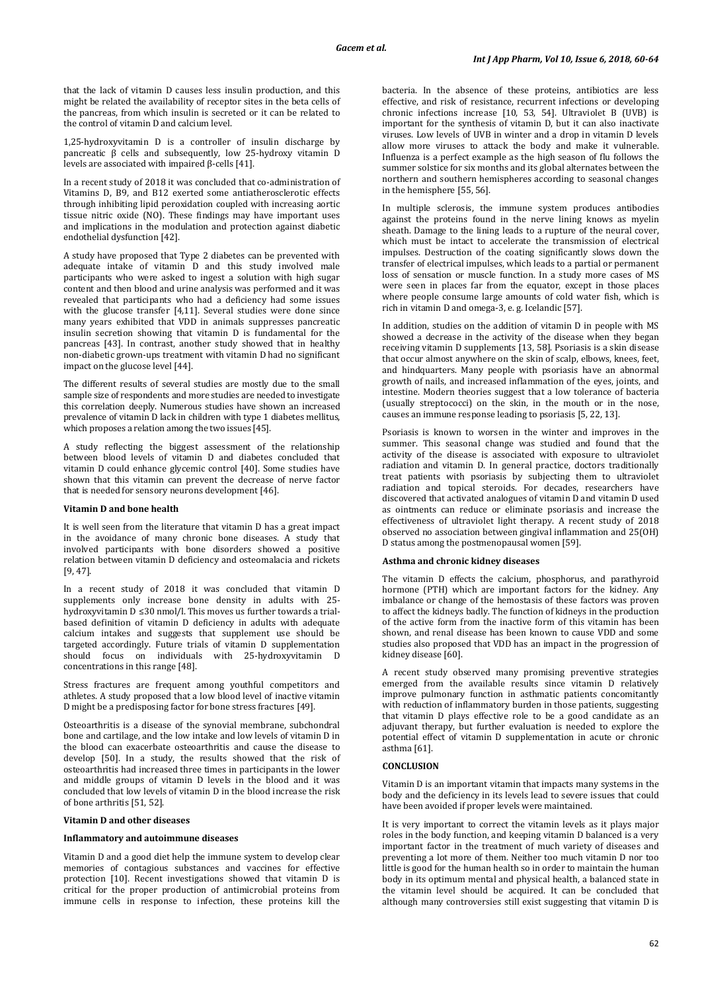that the lack of vitamin D causes less insulin production, and this might be related the availability of receptor sites in the beta cells of the pancreas, from which insulin is secreted or it can be related to the control of vitamin D and calcium level.

1,25-hydroxyvitamin D is a controller of insulin discharge by pancreatic β cells and subsequently, low 25-hydroxy vitamin D levels are associated with impaired β-cells [41].

In a recent study of 2018 it was concluded that co-administration of Vitamins D, B9, and B12 exerted some antiatherosclerotic effects through inhibiting lipid peroxidation coupled with increasing aortic tissue nitric oxide (NO). These findings may have important uses and implications in the modulation and protection against diabetic endothelial dysfunction [42].

A study have proposed that Type 2 diabetes can be prevented with adequate intake of vitamin D and this study involved male participants who were asked to ingest a solution with high sugar content and then blood and urine analysis was performed and it was revealed that participants who had a deficiency had some issues with the glucose transfer [4,11]. Several studies were done since many years exhibited that VDD in animals suppresses pancreatic insulin secretion showing that vitamin D is fundamental for the pancreas [43]. In contrast, another study showed that in healthy non-diabetic grown-ups treatment with vitamin D had no significant impact on the glucose level [44].

The different results of several studies are mostly due to the small sample size of respondents and more studies are needed to investigate this correlation deeply. Numerous studies have shown an increased prevalence of vitamin D lack in children with type 1 diabetes mellitus, which proposes a relation among the two issues [45].

A study reflecting the biggest assessment of the relationship between blood levels of vitamin D and diabetes concluded that vitamin D could enhance glycemic control [40]. Some studies have shown that this vitamin can prevent the decrease of nerve factor that is needed for sensory neurons development [46].

## **Vitamin D and bone health**

It is well seen from the literature that vitamin D has a great impact in the avoidance of many chronic bone diseases. A study that involved participants with bone disorders showed a positive relation between vitamin D deficiency and osteomalacia and rickets [9, 47].

In a recent study of 2018 it was concluded that vitamin D supplements only increase bone density in adults with 25 hydroxyvitamin D ≤30 nmol/l. This moves us further towards a trialbased definition of vitamin D deficiency in adults with adequate calcium intakes and suggests that supplement use should be targeted accordingly. Future trials of vitamin D supplementation should focus on individuals with 25-hydroxyvitamin D concentrations in this range [48].

Stress fractures are frequent among youthful competitors and athletes. A study proposed that a low blood level of inactive vitamin D might be a predisposing factor for bone stress fractures [49].

Osteoarthritis is a disease of the synovial membrane, subchondral bone and cartilage, and the low intake and low levels of vitamin D in the blood can exacerbate osteoarthritis and cause the disease to develop [50]. In a study, the results showed that the risk of osteoarthritis had increased three times in participants in the lower and middle groups of vitamin D levels in the blood and it was concluded that low levels of vitamin D in the blood increase the risk of bone arthritis [51, 52].

## **Vitamin D and other diseases**

#### **Inflammatory and autoimmune diseases**

Vitamin D and a good diet help the immune system to develop clear memories of contagious substances and vaccines for effective protection [10]. Recent investigations showed that vitamin D is critical for the proper production of antimicrobial proteins from immune cells in response to infection, these proteins kill the

bacteria. In the absence of these proteins, antibiotics are less effective, and risk of resistance, recurrent infections or developing chronic infections increase [10, 53, 54]. Ultraviolet B (UVB) is important for the synthesis of vitamin D, but it can also inactivate viruses. Low levels of UVB in winter and a drop in vitamin D levels allow more viruses to attack the body and make it vulnerable. Influenza is a perfect example as the high season of flu follows the summer solstice for six months and its global alternates between the northern and southern hemispheres according to seasonal changes in the hemisphere [55, 56].

In multiple sclerosis, the immune system produces antibodies against the proteins found in the nerve lining knows as myelin sheath. Damage to the lining leads to a rupture of the neural cover, which must be intact to accelerate the transmission of electrical impulses. Destruction of the coating significantly slows down the transfer of electrical impulses, which leads to a partial or permanent loss of sensation or muscle function. In a study more cases of MS were seen in places far from the equator, except in those places where people consume large amounts of cold water fish, which is rich in vitamin D and omega-3, e. g. Icelandic [57].

In addition, studies on the addition of vitamin D in people with MS showed a decrease in the activity of the disease when they began receiving vitamin D supplements [13, 58]. Psoriasis is a skin disease that occur almost anywhere on the skin of scalp, elbows, knees, feet, and hindquarters. Many people with psoriasis have an abnormal growth of nails, and increased inflammation of the eyes, joints, and intestine. Modern theories suggest that a low tolerance of bacteria (usually streptococci) on the skin, in the mouth or in the nose, causes an immune response leading to psoriasis [5, 22, 13].

Psoriasis is known to worsen in the winter and improves in the summer. This seasonal change was studied and found that the activity of the disease is associated with exposure to ultraviolet radiation and vitamin D. In general practice, doctors traditionally treat patients with psoriasis by subjecting them to ultraviolet radiation and topical steroids. For decades, researchers have discovered that activated analogues of vitamin D and vitamin D used as ointments can reduce or eliminate psoriasis and increase the effectiveness of ultraviolet light therapy. A recent study of 2018 observed no association between gingival inflammation and 25(OH) D status among the postmenopausal women [59].

#### **Asthma and chronic kidney diseases**

The vitamin D effects the calcium, phosphorus, and parathyroid hormone (PTH) which are important factors for the kidney. Any imbalance or change of the hemostasis of these factors was proven to affect the kidneys badly. The function of kidneys in the production of the active form from the inactive form of this vitamin has been shown, and renal disease has been known to cause VDD and some studies also proposed that VDD has an impact in the progression of kidney disease [60].

A recent study observed many promising preventive strategies emerged from the available results since vitamin D relatively improve pulmonary function in asthmatic patients concomitantly with reduction of inflammatory burden in those patients, suggesting that vitamin D plays effective role to be a good candidate as an adjuvant therapy, but further evaluation is needed to explore the potential effect of vitamin D supplementation in acute or chronic asthma [61].

### **CONCLUSION**

Vitamin D is an important vitamin that impacts many systems in the body and the deficiency in its levels lead to severe issues that could have been avoided if proper levels were maintained.

It is very important to correct the vitamin levels as it plays major roles in the body function, and keeping vitamin D balanced is a very important factor in the treatment of much variety of diseases and preventing a lot more of them. Neither too much vitamin D nor too little is good for the human health so in order to maintain the human body in its optimum mental and physical health, a balanced state in the vitamin level should be acquired. It can be concluded that although many controversies still exist suggesting that vitamin D is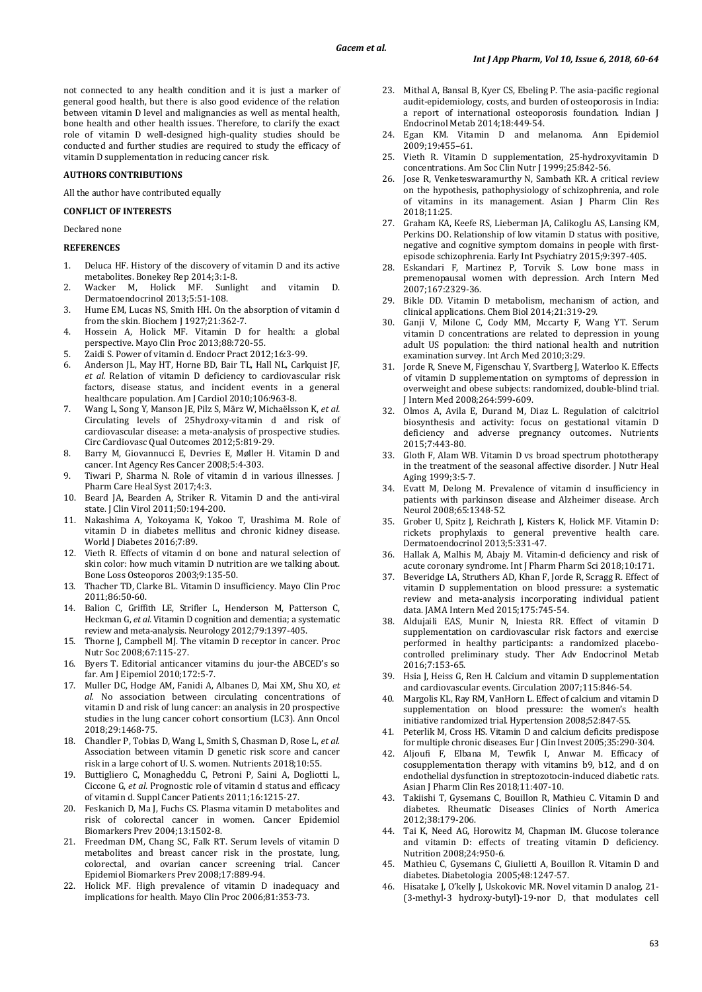not connected to any health condition and it is just a marker of general good health, but there is also good evidence of the relation between vitamin D level and malignancies as well as mental health, bone health and other health issues. Therefore, to clarify the exact role of vitamin D well-designed high-quality studies should be conducted and further studies are required to study the efficacy of vitamin D supplementation in reducing cancer risk.

## **AUTHORS CONTRIBUTIONS**

All the author have contributed equally

## **CONFLICT OF INTERESTS**

Declared none

#### **REFERENCES**

- 1. Deluca HF. History of the discovery of vitamin D and its active metabolites. Bonekey Rep 2014;3:1-8.
- 2. Wacker M, Holick MF. Sunlight and vitamin D. Dermatoendocrinol 2013;5:51-108.
- 3. Hume EM, Lucas NS, Smith HH. On the absorption of vitamin d from the skin. Biochem J 1927;21:362-7.
- 4. Hossein A, Holick MF. Vitamin D for health: a global perspective. Mayo Clin Proc 2013;88:720-55.
- 5. Zaidi S. Power of vitamin d. Endocr Pract 2012;16:3-99.<br>6. Anderson IL. Mav HT. Horne BD. Bair TL. Hall NL. Carl
- 6. Anderson JL, May HT, Horne BD, Bair TL, Hall NL, Carlquist JF, *et al.* Relation of vitamin D deficiency to cardiovascular risk factors, disease status, and incident events in a general healthcare population. Am J Cardiol 2010;106:963-8.
- 7. Wang L, Song Y, Manson JE, Pilz S, März W, Michaëlsson K, *et al.* Circulating levels of 25hydroxy-vitamin d and risk of cardiovascular disease: a meta-analysis of prospective studies. Circ Cardiovasc Qual Outcomes 2012;5:819-29.
- 8. Barry M, Giovannucci E, Devries E, Møller H. Vitamin D and cancer. Int Agency Res Cancer 2008;5:4-303.
- 9. Tiwari P, Sharma N. Role of vitamin d in various illnesses. J Pharm Care Heal Syst 2017;4:3.
- 10. Beard JA, Bearden A, Striker R. Vitamin D and the anti-viral state. J Clin Virol 2011;50:194-200.
- 11. Nakashima A, Yokoyama K, Yokoo T, Urashima M. Role of vitamin D in diabetes mellitus and chronic kidney disease. World J Diabetes 2016;7:89.
- 12. Vieth R. Effects of vitamin d on bone and natural selection of skin color: how much vitamin D nutrition are we talking about. Bone Loss Osteoporos 2003;9:135-50.
- 13. Thacher TD, Clarke BL. Vitamin D insufficiency. Mayo Clin Proc 2011;86:50-60.
- 14. Balion C, Griffith LE, Strifler L, Henderson M, Patterson C, Heckman G, *et al.* Vitamin D cognition and dementia; a systematic review and meta-analysis. Neurology 2012;79:1397-405.
- 15. Thorne J, Campbell MJ. The vitamin D receptor in cancer. Proc Nutr Soc 2008;67:115-27.
- 16. Byers T. Editorial anticancer vitamins du jour-the ABCED's so far. Am J Eipemiol 2010;172:5-7.
- 17. Muller DC, Hodge AM, Fanidi A, Albanes D, Mai XM, Shu XO, *et al.* No association between circulating concentrations of vitamin D and risk of lung cancer: an analysis in 20 prospective studies in the lung cancer cohort consortium (LC3). Ann Oncol 2018;29:1468-75.
- 18. Chandler P, Tobias D, Wang L, Smith S, Chasman D, Rose L, *et al.* Association between vitamin D genetic risk score and cancer risk in a large cohort of U. S. women. Nutrients 2018;10:55.
- 19. Buttigliero C, Monagheddu C, Petroni P, Saini A, Dogliotti L, Ciccone G, *et al.* Prognostic role of vitamin d status and efficacy of vitamin d. Suppl Cancer Patients 2011;16:1215-27.
- 20. Feskanich D, Ma J, Fuchs CS. Plasma vitamin D metabolites and risk of colorectal cancer in women. Cancer Epidemiol Biomarkers Prev 2004;13:1502-8.
- 21. Freedman DM, Chang SC, Falk RT. Serum levels of vitamin D metabolites and breast cancer risk in the prostate, lung, colorectal, and ovarian cancer screening trial. Cancer Epidemiol Biomarkers Prev 2008;17:889-94.
- 22. Holick MF. High prevalence of vitamin D inadequacy and implications for health. Mayo Clin Proc 2006;81:353-73.
- 23. Mithal A, Bansal B, Kyer CS, Ebeling P. The asia-pacific regional audit-epidemiology, costs, and burden of osteoporosis in India: a report of international osteoporosis foundation. Indian J Endocrinol Metab 2014;18:449-54.
- 24. Egan KM. Vitamin D and melanoma. Ann Epidemiol 2009;19:455–61.
- 25. Vieth R. Vitamin D supplementation, 25-hydroxyvitamin D concentrations. Am Soc Clin Nutr J 1999;25:842-56.
- 26. Jose R, Venketeswaramurthy N, Sambath KR. A critical review on the hypothesis, pathophysiology of schizophrenia, and role of vitamins in its management. Asian J Pharm Clin Res 2018;11:25.
- 27. Graham KA, Keefe RS, Lieberman JA, Calikoglu AS, Lansing KM, Perkins DO. Relationship of low vitamin D status with positive, negative and cognitive symptom domains in people with firstepisode schizophrenia. Early Int Psychiatry 2015;9:397-405.
- 28. Eskandari F, Martinez P, Torvik S. Low bone mass in premenopausal women with depression. Arch Intern Med 2007;167:2329-36.
- Bikle DD. Vitamin D metabolism, mechanism of action, and clinical applications. Chem Biol 2014;21:319-29.
- 30. Ganji V, Milone C, Cody MM, Mccarty F, Wang YT. Serum vitamin D concentrations are related to depression in young adult US population: the third national health and nutrition examination survey. Int Arch Med 2010;3:29.
- 31. Jorde R, Sneve M, Figenschau Y, Svartberg J, Waterloo K. Effects of vitamin D supplementation on symptoms of depression in overweight and obese subjects: randomized, double-blind trial. J Intern Med 2008;264:599-609.
- 32. Olmos A, Avila E, Durand M, Diaz L. Regulation of calcitriol biosynthesis and activity: focus on gestational vitamin D deficiency and adverse pregnancy outcomes. Nutrients 2015;7:443-80.
- 33. Gloth F, Alam WB. Vitamin D vs broad spectrum phototherapy in the treatment of the seasonal affective disorder. J Nutr Heal Aging 1999;3:5-7.
- 34. Evatt M, Delong M. Prevalence of vitamin d insufficiency in patients with parkinson disease and Alzheimer disease. Arch Neurol 2008;65:1348-52.
- 35. Grober U, Spitz J, Reichrath J, Kisters K, Holick MF. Vitamin D: rickets prophylaxis to general preventive health care. Dermatoendocrinol 2013;5:331-47.
- 36. Hallak A, Malhis M, Abajy M. Vitamin-d deficiency and risk of acute coronary syndrome. Int J Pharm Pharm Sci 2018;10:171.
- 37. Beveridge LA, Struthers AD, Khan F, Jorde R, Scragg R. Effect of vitamin D supplementation on blood pressure: a systematic review and meta-analysis incorporating individual patient data. JAMA Intern Med 2015;175:745-54.
- 38. Aldujaili EAS, Munir N, Iniesta RR. Effect of vitamin D supplementation on cardiovascular risk factors and exercise performed in healthy participants: a randomized placebocontrolled preliminary study. Ther Adv Endocrinol Metab 2016;7:153-65.
- 39. Hsia J, Heiss G, Ren H. Calcium and vitamin D supplementation and cardiovascular events. Circulation 2007;115:846-54.
- 40. Margolis KL, Ray RM, VanHorn L. Effect of calcium and vitamin D supplementation on blood pressure: the women's health initiative randomized trial. Hypertension 2008;52:847-55.
- 41. Peterlik M, Cross HS. Vitamin D and calcium deficits predispose for multiple chronic diseases. Eur J Clin Invest 2005;35:290-304.
- 42. Aljoufi F, Elbana M, Tewfik I, Anwar M. Efficacy of cosupplementation therapy with vitamins b9, b12, and d on endothelial dysfunction in streptozotocin-induced diabetic rats. Asian J Pharm Clin Res 2018;11:407-10.
- 43. Takiishi T, Gysemans C, Bouillon R, Mathieu C. Vitamin D and diabetes. Rheumatic Diseases Clinics of North America 2012;38:179-206.
- 44. Tai K, Need AG, Horowitz M, Chapman IM. Glucose tolerance and vitamin D: effects of treating vitamin D deficiency. Nutrition 2008;24:950-6.
- 45. Mathieu C, Gysemans C, Giulietti A, Bouillon R. Vitamin D and diabetes. Diabetologia 2005;48:1247-57.
- 46. Hisatake J, O'kelly J, Uskokovic MR. Novel vitamin D analog, 21- (3-methyl-3 hydroxy-butyl)-19-nor D, that modulates cell